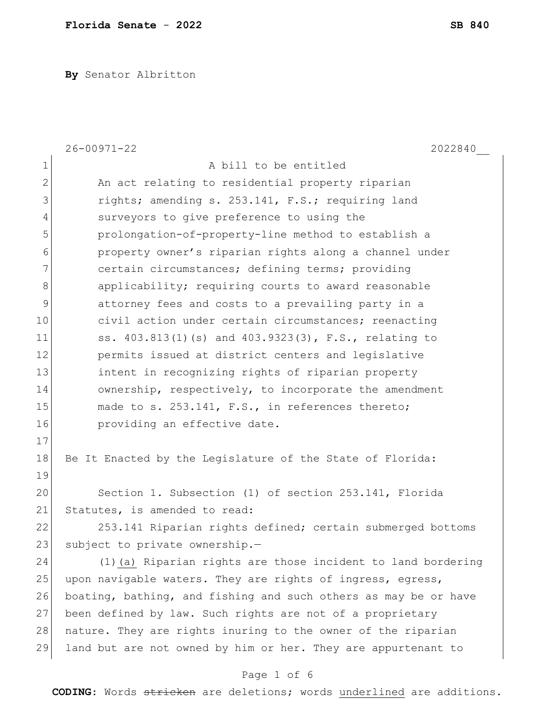**By** Senator Albritton

|                | $26 - 00971 - 22$<br>2022840                                    |
|----------------|-----------------------------------------------------------------|
| $1\,$          | A bill to be entitled                                           |
| $\mathbf{2}$   | An act relating to residential property riparian                |
| 3              | rights; amending s. 253.141, F.S.; requiring land               |
| 4              | surveyors to give preference to using the                       |
| 5              | prolongation-of-property-line method to establish a             |
| 6              | property owner's riparian rights along a channel under          |
| $\overline{7}$ | certain circumstances; defining terms; providing                |
| 8              | applicability; requiring courts to award reasonable             |
| $\mathsf 9$    | attorney fees and costs to a prevailing party in a              |
| 10             | civil action under certain circumstances; reenacting            |
| 11             | ss. 403.813(1)(s) and 403.9323(3), F.S., relating to            |
| 12             | permits issued at district centers and legislative              |
| 13             | intent in recognizing rights of riparian property               |
| 14             | ownership, respectively, to incorporate the amendment           |
| 15             | made to s. 253.141, F.S., in references thereto;                |
| 16             | providing an effective date.                                    |
| 17             |                                                                 |
| 18             | Be It Enacted by the Legislature of the State of Florida:       |
| 19             |                                                                 |
| 20             | Section 1. Subsection (1) of section 253.141, Florida           |
| 21             | Statutes, is amended to read:                                   |
| 22             | 253.141 Riparian rights defined; certain submerged bottoms      |
| 23             | subject to private ownership.-                                  |
| 24             | (1) (a) Riparian rights are those incident to land bordering    |
| 25             | upon navigable waters. They are rights of ingress, egress,      |
| 26             | boating, bathing, and fishing and such others as may be or have |
| 27             | been defined by law. Such rights are not of a proprietary       |
| 28             | nature. They are rights inuring to the owner of the riparian    |
| 29             | land but are not owned by him or her. They are appurtenant to   |
|                | Page 1 of 6                                                     |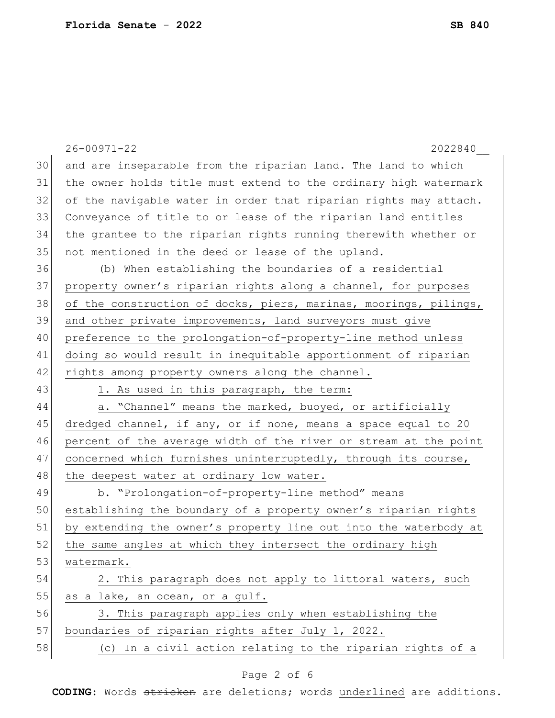|    | $26 - 00971 - 22$<br>2022840                                     |
|----|------------------------------------------------------------------|
| 30 | and are inseparable from the riparian land. The land to which    |
| 31 | the owner holds title must extend to the ordinary high watermark |
| 32 | of the navigable water in order that riparian rights may attach. |
| 33 | Conveyance of title to or lease of the riparian land entitles    |
| 34 | the grantee to the riparian rights running therewith whether or  |
| 35 | not mentioned in the deed or lease of the upland.                |
| 36 | (b) When establishing the boundaries of a residential            |
| 37 | property owner's riparian rights along a channel, for purposes   |
| 38 | of the construction of docks, piers, marinas, moorings, pilings, |
| 39 | and other private improvements, land surveyors must give         |
| 40 | preference to the prolongation-of-property-line method unless    |
| 41 | doing so would result in inequitable apportionment of riparian   |
| 42 | rights among property owners along the channel.                  |
| 43 | 1. As used in this paragraph, the term:                          |
| 44 | a. "Channel" means the marked, buoyed, or artificially           |
| 45 | dredged channel, if any, or if none, means a space equal to 20   |
| 46 | percent of the average width of the river or stream at the point |
| 47 | concerned which furnishes uninterruptedly, through its course,   |
| 48 | the deepest water at ordinary low water.                         |
| 49 | b. "Prolongation-of-property-line method" means                  |
| 50 | establishing the boundary of a property owner's riparian rights  |
| 51 | by extending the owner's property line out into the waterbody at |
| 52 | the same angles at which they intersect the ordinary high        |
| 53 | watermark.                                                       |
| 54 | 2. This paragraph does not apply to littoral waters, such        |
| 55 | as a lake, an ocean, or a gulf.                                  |
| 56 | 3. This paragraph applies only when establishing the             |
| 57 | boundaries of riparian rights after July 1, 2022.                |
| 58 | (c) In a civil action relating to the riparian rights of a       |
|    |                                                                  |

# Page 2 of 6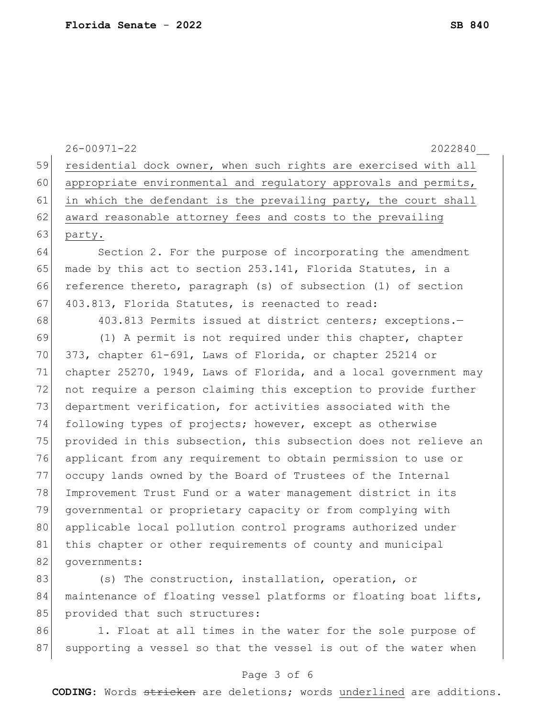26-00971-22 2022840\_\_ 59 residential dock owner, when such rights are exercised with all 60 appropriate environmental and regulatory approvals and permits, 61 in which the defendant is the prevailing party, the court shall 62 award reasonable attorney fees and costs to the prevailing 63 party. 64 Section 2. For the purpose of incorporating the amendment 65 made by this act to section 253.141, Florida Statutes, in a 66 reference thereto, paragraph (s) of subsection (1) of section 67 403.813, Florida Statutes, is reenacted to read: 68 403.813 Permits issued at district centers; exceptions. 69 (1) A permit is not required under this chapter, chapter 70 373, chapter 61-691, Laws of Florida, or chapter 25214 or 71 chapter 25270, 1949, Laws of Florida, and a local government may 72 not require a person claiming this exception to provide further 73 department verification, for activities associated with the 74 following types of projects; however, except as otherwise 75 provided in this subsection, this subsection does not relieve an 76 applicant from any requirement to obtain permission to use or 77 occupy lands owned by the Board of Trustees of the Internal 78 Improvement Trust Fund or a water management district in its 79 governmental or proprietary capacity or from complying with 80 applicable local pollution control programs authorized under 81 this chapter or other requirements of county and municipal 82 governments: 83 (s) The construction, installation, operation, or 84 maintenance of floating vessel platforms or floating boat lifts, 85 provided that such structures: 86 1. Float at all times in the water for the sole purpose of

#### Page 3 of 6

87 supporting a vessel so that the vessel is out of the water when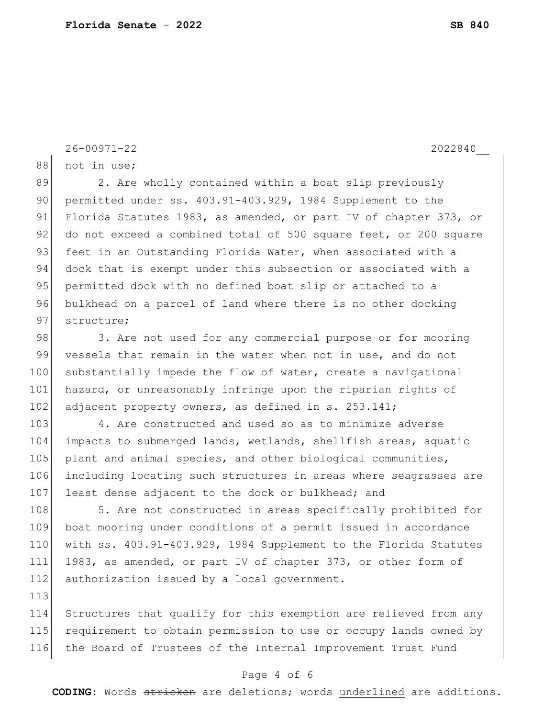```
88 not in use;
89 2. Are wholly contained within a boat slip previously
```
90 permitted under ss. 403.91-403.929, 1984 Supplement to the 91 Florida Statutes 1983, as amended, or part IV of chapter 373, or 92 do not exceed a combined total of 500 square feet, or 200 square 93 feet in an Outstanding Florida Water, when associated with a 94 dock that is exempt under this subsection or associated with a 95 permitted dock with no defined boat slip or attached to a 96 bulkhead on a parcel of land where there is no other docking 97 structure;

98 3. Are not used for any commercial purpose or for mooring 99 vessels that remain in the water when not in use, and do not 100 substantially impede the flow of water, create a navigational 101 hazard, or unreasonably infringe upon the riparian rights of 102 adjacent property owners, as defined in s. 253.141;

103 4. Are constructed and used so as to minimize adverse 104 impacts to submerged lands, wetlands, shellfish areas, aquatic 105 plant and animal species, and other biological communities, 106 including locating such structures in areas where seagrasses are 107 least dense adjacent to the dock or bulkhead; and

108 5. Are not constructed in areas specifically prohibited for 109 boat mooring under conditions of a permit issued in accordance 110 with ss. 403.91-403.929, 1984 Supplement to the Florida Statutes 111 1983, as amended, or part IV of chapter 373, or other form of 112 authorization issued by a local government.

113

114 Structures that qualify for this exemption are relieved from any 115 requirement to obtain permission to use or occupy lands owned by 116 the Board of Trustees of the Internal Improvement Trust Fund

## Page 4 of 6

**CODING**: Words stricken are deletions; words underlined are additions.

26-00971-22 2022840\_\_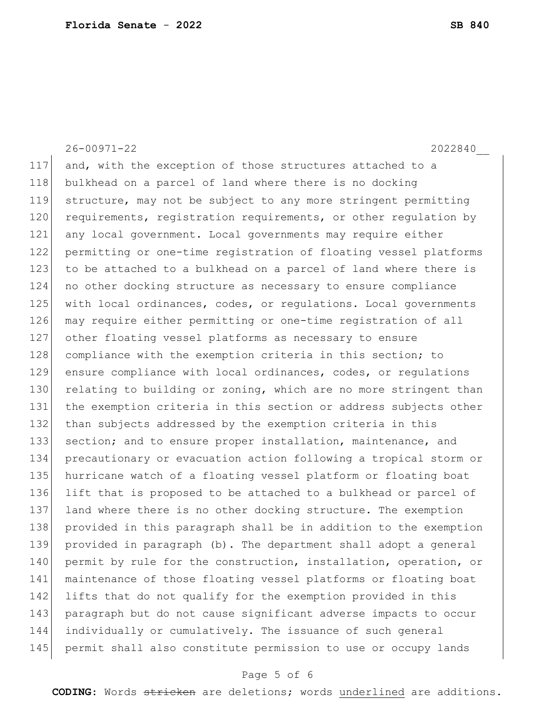26-00971-22 2022840\_\_ 117 and, with the exception of those structures attached to a 118 bulkhead on a parcel of land where there is no docking 119 structure, may not be subject to any more stringent permitting 120 requirements, registration requirements, or other regulation by 121 any local government. Local governments may require either 122 permitting or one-time registration of floating vessel platforms 123 to be attached to a bulkhead on a parcel of land where there is 124 no other docking structure as necessary to ensure compliance 125 with local ordinances, codes, or requiations. Local governments 126 may require either permitting or one-time registration of all 127 other floating vessel platforms as necessary to ensure 128 compliance with the exemption criteria in this section; to 129 ensure compliance with local ordinances, codes, or regulations 130 relating to building or zoning, which are no more stringent than 131 the exemption criteria in this section or address subjects other 132 than subjects addressed by the exemption criteria in this 133 section; and to ensure proper installation, maintenance, and 134 precautionary or evacuation action following a tropical storm or 135 hurricane watch of a floating vessel platform or floating boat 136 lift that is proposed to be attached to a bulkhead or parcel of 137 land where there is no other docking structure. The exemption 138 provided in this paragraph shall be in addition to the exemption 139 provided in paragraph (b). The department shall adopt a general 140 permit by rule for the construction, installation, operation, or 141 maintenance of those floating vessel platforms or floating boat 142 lifts that do not qualify for the exemption provided in this 143 paragraph but do not cause significant adverse impacts to occur 144 individually or cumulatively. The issuance of such general 145 permit shall also constitute permission to use or occupy lands

#### Page 5 of 6